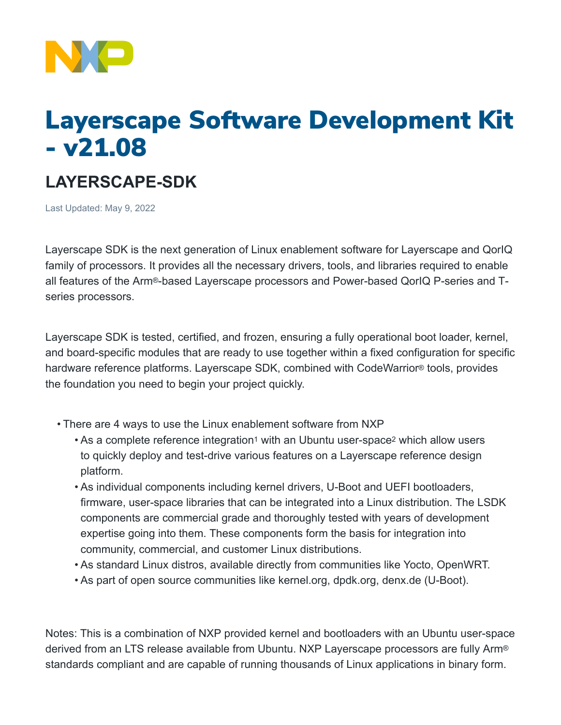

# Layerscape Software Development Kit - v21.08

## **LAYERSCAPE-SDK**

Last Updated: May 9, 2022

Layerscape SDK is the next generation of Linux enablement software for Layerscape and QorIQ family of processors. It provides all the necessary drivers, tools, and libraries required to enable all features of the Arm®-based Layerscape processors and Power-based QorIQ P-series and Tseries processors.

Layerscape SDK is tested, certified, and frozen, ensuring a fully operational boot loader, kernel, and board-specific modules that are ready to use together within a fixed configuration for specific hardware reference platforms. Layerscape SDK, combined with CodeWarrior® tools, provides the foundation you need to begin your project quickly.

- There are 4 ways to use the Linux enablement software from NXP
	- As a complete reference integration<sup>1</sup> with an Ubuntu user-space<sup>2</sup> which allow users to quickly deploy and test-drive various features on a Layerscape reference design platform.
	- As individual components including kernel drivers, U-Boot and UEFI bootloaders, firmware, user-space libraries that can be integrated into a Linux distribution. The LSDK components are commercial grade and thoroughly tested with years of development expertise going into them. These components form the basis for integration into community, commercial, and customer Linux distributions.
	- As standard Linux distros, available directly from communities like Yocto, OpenWRT.
	- As part of open source communities like kernel.org, dpdk.org, denx.de (U-Boot).

Notes: This is a combination of NXP provided kernel and bootloaders with an Ubuntu user-space derived from an LTS release available from Ubuntu. NXP Layerscape processors are fully Arm® standards compliant and are capable of running thousands of Linux applications in binary form.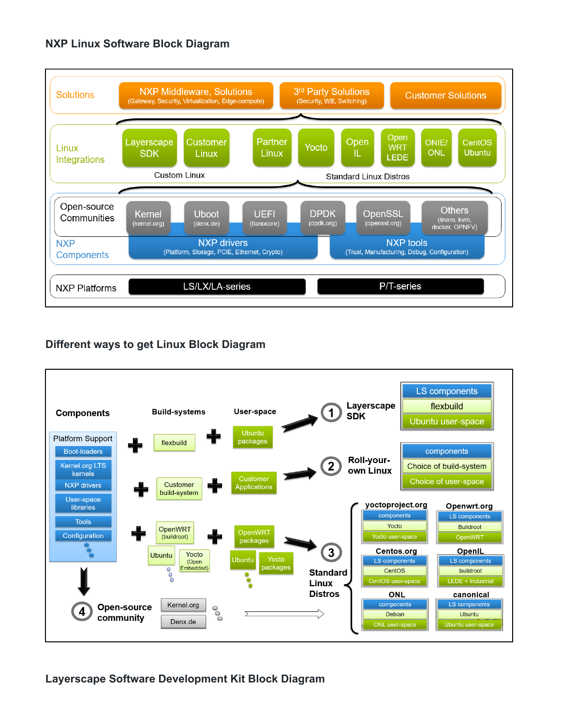### **NXP Linux Software Block Diagram**



### **Different ways to get Linux Block Diagram**